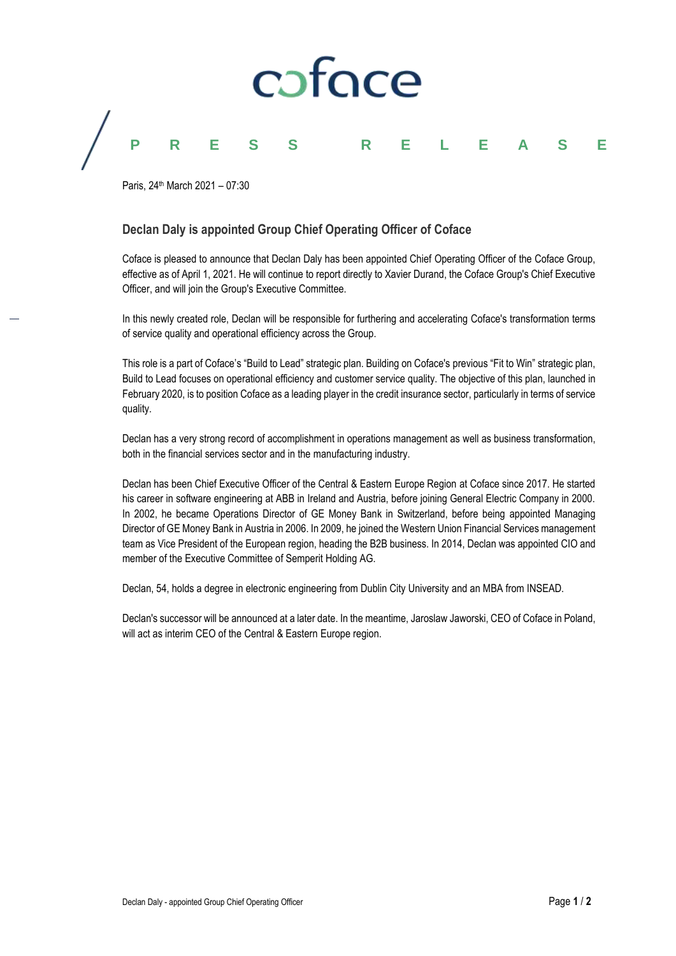# caface **PRESS RELEASE**

Paris, 24th March 2021 – 07:30

### **Declan Daly is appointed Group Chief Operating Officer of Coface**

Coface is pleased to announce that Declan Daly has been appointed Chief Operating Officer of the Coface Group, effective as of April 1, 2021. He will continue to report directly to Xavier Durand, the Coface Group's Chief Executive Officer, and will join the Group's Executive Committee.

In this newly created role, Declan will be responsible for furthering and accelerating Coface's transformation terms of service quality and operational efficiency across the Group.

This role is a part of Coface's "Build to Lead" strategic plan. Building on Coface's previous "Fit to Win" strategic plan, Build to Lead focuses on operational efficiency and customer service quality. The objective of this plan, launched in February 2020, is to position Coface as a leading player in the credit insurance sector, particularly in terms of service quality.

Declan has a very strong record of accomplishment in operations management as well as business transformation, both in the financial services sector and in the manufacturing industry.

Declan has been Chief Executive Officer of the Central & Eastern Europe Region at Coface since 2017. He started his career in software engineering at ABB in Ireland and Austria, before joining General Electric Company in 2000. In 2002, he became Operations Director of GE Money Bank in Switzerland, before being appointed Managing Director of GE Money Bank in Austria in 2006. In 2009, he joined the Western Union Financial Services management team as Vice President of the European region, heading the B2B business. In 2014, Declan was appointed CIO and member of the Executive Committee of Semperit Holding AG.

Declan, 54, holds a degree in electronic engineering from Dublin City University and an MBA from INSEAD.

Declan's successor will be announced at a later date. In the meantime, Jaroslaw Jaworski, CEO of Coface in Poland, will act as interim CEO of the Central & Eastern Europe region.